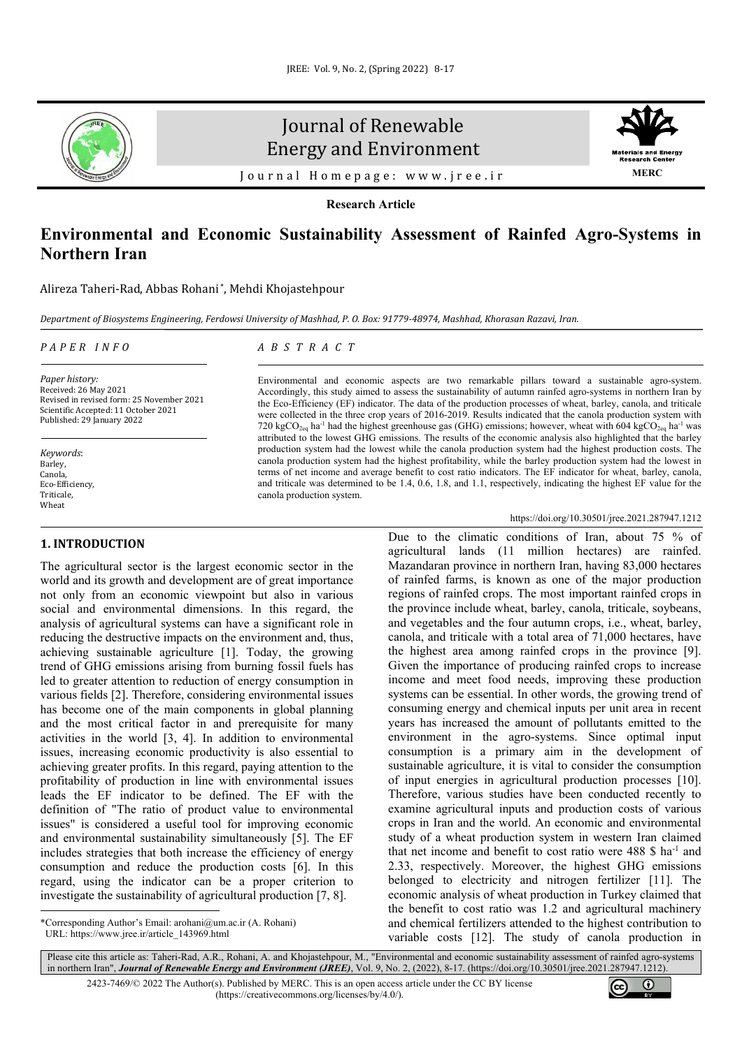

# Journal of Renewable Energy and Environment



Journal Homepage: [www.jree.ir](http://www.jree.ir/)

**Research Article**

## **Environmental and Economic Sustainability Assessment of Rainfed Agro-Systems in Northern Iran**

Alireza Taheri-Rad, Abbas Rohani \*, Mehdi Khojastehpour

*Department of Biosystems Engineering, Ferdowsi University of Mashhad, P. O. Box: 91779-48974, Mashhad, Khorasan Razavi, Iran.*

## *PAPER INFO*

*ABSTRACT*

*Paper history:* Received: 26 May 2021 Revised in revised form: 25 November 2021 Scientific Accepted: 11 October 2021 Published: 29 January 2022

*Keywords*: Barley, Canola, Eco-Efficiency, **Triticale** Wheat

## **1. INTRODUCTION[1](#page-0-0)**

The agricultural sector is the largest economic sector in the world and its growth and development are of great importance not only from an economic viewpoint but also in various social and environmental dimensions. In this regard, the analysis of agricultural systems can have a significant role in reducing the destructive impacts on the environment and, thus, achieving sustainable agriculture [1]. Today, the growing trend of GHG emissions arising from burning fossil fuels has led to greater attention to reduction of energy consumption in various fields [2]. Therefore, considering environmental issues has become one of the main components in global planning and the most critical factor in and prerequisite for many activities in the world [3, 4]. In addition to environmental issues, increasing economic productivity is also essential to achieving greater profits. In this regard, paying attention to the profitability of production in line with environmental issues leads the EF indicator to be defined. The EF with the definition of "The ratio of product value to environmental issues" is considered a useful tool for improving economic and environmental sustainability simultaneously [5]. The EF includes strategies that both increase the efficiency of energy consumption and reduce the production costs [6]. In this regard, using the indicator can be a proper criterion to investigate the sustainability of agricultural production [7, 8].

<span id="page-0-0"></span>\*Corresponding Author's Email[: arohani@um.ac.ir \(](mailto:arohani@um.ac.ir)A. Rohani) URL[: https://www.jree.ir/article\\_143969.html](https://www.jree.ir/article_143969.html)

720 kgCO<sub>2eq</sub> ha<sup>-1</sup> had the highest greenhouse gas (GHG) emissions; however, wheat with 604 kgCO<sub>2eq</sub> ha<sup>-1</sup> was attributed to the lowest GHG emissions. The results of the economic analysis also highlighted that the barley production system had the lowest while the canola production system had the highest production costs. The canola production system had the highest profitability, while the barley production system had the lowest in terms of net income and average benefit to cost ratio indicators. The EF indicator for wheat, barley, canola, and triticale was determined to be 1.4, 0.6, 1.8, and 1.1, respectively, indicating the highest EF value for the canola production system.

Environmental and economic aspects are two remarkable pillars toward a sustainable agro-system. Accordingly, this study aimed to assess the sustainability of autumn rainfed agro-systems in northern Iran by the Eco-Efficiency (EF) indicator. The data of the production processes of wheat, barley, canola, and triticale were collected in the three crop years of 2016-2019. Results indicated that the canola production system with

## <https://doi.org/10.30501/jree.2021.287947.1212>

Due to the climatic conditions of Iran, about 75 % of agricultural lands (11 million hectares) are rainfed. Mazandaran province in northern Iran, having 83,000 hectares of rainfed farms, is known as one of the major production regions of rainfed crops. The most important rainfed crops in the province include wheat, barley, canola, triticale, soybeans, and vegetables and the four autumn crops, i.e., wheat, barley, canola, and triticale with a total area of 71,000 hectares, have the highest area among rainfed crops in the province [9]. Given the importance of producing rainfed crops to increase income and meet food needs, improving these production systems can be essential. In other words, the growing trend of consuming energy and chemical inputs per unit area in recent years has increased the amount of pollutants emitted to the environment in the agro-systems. Since optimal input consumption is a primary aim in the development of sustainable agriculture, it is vital to consider the consumption of input energies in agricultural production processes [10]. Therefore, various studies have been conducted recently to examine agricultural inputs and production costs of various crops in Iran and the world. An economic and environmental study of a wheat production system in western Iran claimed that net income and benefit to cost ratio were  $488 \text{ S}$  ha<sup>-1</sup> and 2.33, respectively. Moreover, the highest GHG emissions belonged to electricity and nitrogen fertilizer [11]. The economic analysis of wheat production in Turkey claimed that the benefit to cost ratio was 1.2 and agricultural machinery and chemical fertilizers attended to the highest contribution to variable costs [12]. The study of canola production in

2423-7469/© 2022 The Author(s). Published by [MERC.](https://en.merc.ac.ir/) This is an open access article under the CC BY license [\(https://creativecommons.org/licenses/by/4.0/\)](https://creativecommons.org/licenses/by/4.0/).



Please cite this article as: Taheri-Rad, A.R., Rohani, A. and Khojastehpour, M., "Environmental and economic sustainability assessment of rainfed agro-systems in northern Iran", *Journal of Renewable Energy and Environment (JREE)*, Vol. 9, No. 2, (2022), 8-17. [\(https://doi.org/10.30501/jree.2021.287947.1212\)](https://doi.org/10.30501/jree.2021.287947.1212).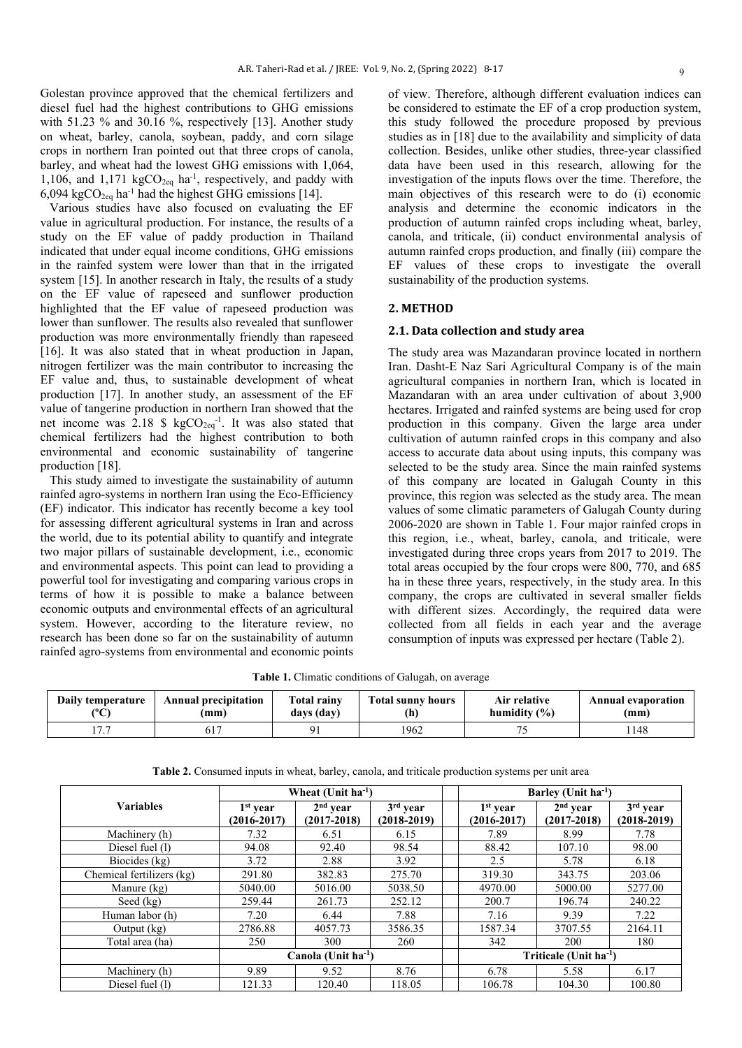Golestan province approved that the chemical fertilizers and diesel fuel had the highest contributions to GHG emissions with 51.23 % and 30.16 %, respectively [13]. Another study on wheat, barley, canola, soybean, paddy, and corn silage crops in northern Iran pointed out that three crops of canola, barley, and wheat had the lowest GHG emissions with 1,064, 1,106, and 1,171  $kgCO<sub>2eq</sub>$  ha<sup>-1</sup>, respectively, and paddy with 6,094 kgCO<sub>2eq</sub> ha<sup>-1</sup> had the highest GHG emissions [14].

 Various studies have also focused on evaluating the EF value in agricultural production. For instance, the results of a study on the EF value of paddy production in Thailand indicated that under equal income conditions, GHG emissions in the rainfed system were lower than that in the irrigated system [15]. In another research in Italy, the results of a study on the EF value of rapeseed and sunflower production highlighted that the EF value of rapeseed production was lower than sunflower. The results also revealed that sunflower production was more environmentally friendly than rapeseed [16]. It was also stated that in wheat production in Japan, nitrogen fertilizer was the main contributor to increasing the EF value and, thus, to sustainable development of wheat production [17]. In another study, an assessment of the EF value of tangerine production in northern Iran showed that the net income was 2.18 \$  $kgCO<sub>2eq</sub><sup>-1</sup>$ . It was also stated that chemical fertilizers had the highest contribution to both environmental and economic sustainability of tangerine production [18].

 This study aimed to investigate the sustainability of autumn rainfed agro-systems in northern Iran using the Eco-Efficiency (EF) indicator. This indicator has recently become a key tool for assessing different agricultural systems in Iran and across the world, due to its potential ability to quantify and integrate two major pillars of sustainable development, i.e., economic and environmental aspects. This point can lead to providing a powerful tool for investigating and comparing various crops in terms of how it is possible to make a balance between economic outputs and environmental effects of an agricultural system. However, according to the literature review, no research has been done so far on the sustainability of autumn rainfed agro-systems from environmental and economic points of view. Therefore, although different evaluation indices can be considered to estimate the EF of a crop production system, this study followed the procedure proposed by previous studies as in [18] due to the availability and simplicity of data collection. Besides, unlike other studies, three-year classified data have been used in this research, allowing for the investigation of the inputs flows over the time. Therefore, the main objectives of this research were to do (i) economic analysis and determine the economic indicators in the production of autumn rainfed crops including wheat, barley, canola, and triticale, (ii) conduct environmental analysis of autumn rainfed crops production, and finally (iii) compare the EF values of these crops to investigate the overall sustainability of the production systems.

## **2. METHOD**

## **2.1. Data collection and study area**

The study area was Mazandaran province located in northern Iran. Dasht-E Naz Sari Agricultural Company is of the main agricultural companies in northern Iran, which is located in Mazandaran with an area under cultivation of about 3,900 hectares. Irrigated and rainfed systems are being used for crop production in this company. Given the large area under cultivation of autumn rainfed crops in this company and also access to accurate data about using inputs, this company was selected to be the study area. Since the main rainfed systems of this company are located in Galugah County in this province, this region was selected as the study area. The mean values of some climatic parameters of Galugah County during 2006-2020 are shown in Table 1. Four major rainfed crops in this region, i.e., wheat, barley, canola, and triticale, were investigated during three crops years from 2017 to 2019. The total areas occupied by the four crops were 800, 770, and 685 ha in these three years, respectively, in the study area. In this company, the crops are cultivated in several smaller fields with different sizes. Accordingly, the required data were collected from all fields in each year and the average consumption of inputs was expressed per hectare (Table 2).

**Table 1.** Climatic conditions of Galugah, on average

| Daily temperature | <b>Annual precipitation</b> | <b>Total rainv</b> | <b>Total sunny hours</b> | Air relative     | <b>Annual evaporation</b> |
|-------------------|-----------------------------|--------------------|--------------------------|------------------|---------------------------|
| (0)               | (mm)                        | days (day)         | (h)                      | humidity $(\% )$ | (mm)                      |
| $-$               | 617                         | $\Omega$           | 1962                     |                  | 1148                      |

|                           | Wheat $(Unit ha-1)$      |                 |                 |  | Barley (Unit $ha^{-1}$ )           |                 |                 |  |
|---------------------------|--------------------------|-----------------|-----------------|--|------------------------------------|-----------------|-----------------|--|
| <b>Variables</b>          | $1st$ year               | $2nd$ year      | $3rd$ year      |  | $1st$ year                         | $2nd$ year      | $3rd$ year      |  |
|                           | $(2016 - 2017)$          | $(2017 - 2018)$ | $(2018 - 2019)$ |  | $(2016 - 2017)$                    | $(2017 - 2018)$ | $(2018 - 2019)$ |  |
| Machinery (h)             | 7.32                     | 6.51            | 6.15            |  | 7.89                               | 8.99            | 7.78            |  |
| Diesel fuel (1)           | 94.08                    | 92.40           | 98.54           |  | 88.42                              | 107.10          | 98.00           |  |
| Biocides (kg)             | 3.72                     | 2.88            | 3.92            |  | 2.5                                | 5.78            | 6.18            |  |
| Chemical fertilizers (kg) | 291.80                   | 382.83          | 275.70          |  | 319.30                             | 343.75          | 203.06          |  |
| Manure (kg)               | 5040.00                  | 5016.00         | 5038.50         |  | 4970.00                            | 5000.00         | 5277.00         |  |
| Seed (kg)                 | 259.44                   | 261.73          | 252.12          |  | 200.7                              | 196.74          | 240.22          |  |
| Human labor (h)           | 7.20                     | 6.44            | 7.88            |  | 7.16                               | 9.39            | 7.22            |  |
| Output $(kg)$             | 2786.88                  | 4057.73         | 3586.35         |  | 1587.34                            | 3707.55         | 2164.11         |  |
| Total area (ha)           | 250                      | 300             | 260             |  | 342                                | 200             | 180             |  |
|                           | Canola (Unit $ha^{-1}$ ) |                 |                 |  | Triticale (Unit ha <sup>-1</sup> ) |                 |                 |  |
| Machinery (h)             | 9.89                     | 9.52            | 8.76            |  | 6.78                               | 5.58            | 6.17            |  |
| Diesel fuel (1)           | 121.33                   | 120.40          | 118.05          |  | 106.78                             | 104.30          | 100.80          |  |

**Table 2.** Consumed inputs in wheat, barley, canola, and triticale production systems per unit area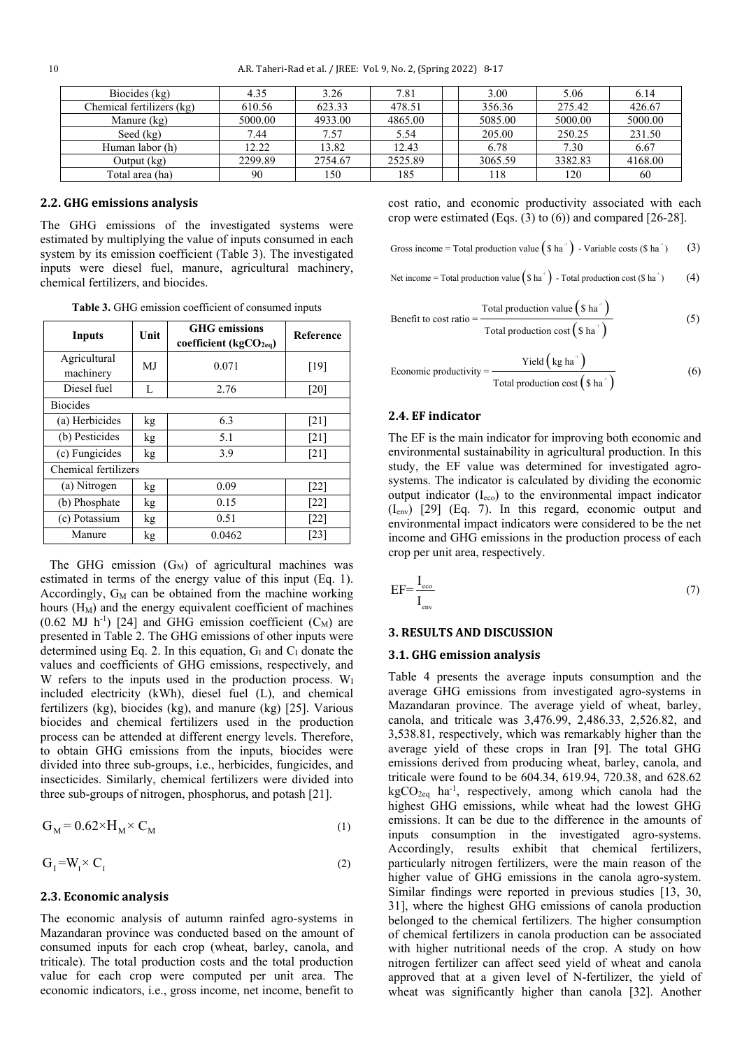| Biocides (kg)             | 4.35    | 3.26    | 7.81    | 3.00    | 5.06    | 6.14    |
|---------------------------|---------|---------|---------|---------|---------|---------|
| Chemical fertilizers (kg) | 610.56  | 623.33  | 478.51  | 356.36  | 275.42  | 426.67  |
| Manure (kg)               | 5000.00 | 4933.00 | 4865.00 | 5085.00 | 5000.00 | 5000.00 |
| Seed $(kg)$               | 7.44    | 7.57    | 5.54    | 205.00  | 250.25  | 231.50  |
| Human labor (h)           | 12.22   | 13.82   | 12.43   | 6.78    | 7.30    | 6.67    |
| Output (kg)               | 2299.89 | 2754.67 | 2525.89 | 3065.59 | 3382.83 | 4168.00 |
| Total area (ha)           | 90      | 150     | 185     | 118     | 120     | -60     |

## **2.2. GHG emissions analysis**

The GHG emissions of the investigated systems were estimated by multiplying the value of inputs consumed in each system by its emission coefficient (Table 3). The investigated inputs were diesel fuel, manure, agricultural machinery, chemical fertilizers, and biocides.

**Table 3.** GHG emission coefficient of consumed inputs

| Inputs               | Unit      | <b>GHG</b> emissions<br>coefficient ( $kgCO2ea$ ) | Reference |  |
|----------------------|-----------|---------------------------------------------------|-----------|--|
| Agricultural         | MJ        | 0.071                                             | [19]      |  |
| machinery            |           |                                                   |           |  |
| Diesel fuel          | L         | 2.76                                              | [20]      |  |
| <b>Biocides</b>      |           |                                                   |           |  |
| (a) Herbicides       | kg        | 6.3                                               | [21]      |  |
| (b) Pesticides       | kg        | 5.1                                               | $[21]$    |  |
| (c) Fungicides       | 3.9<br>kg |                                                   | [21]      |  |
| Chemical fertilizers |           |                                                   |           |  |
| (a) Nitrogen         | kg        | 0.09                                              | $[22]$    |  |
| (b) Phosphate        | kg        | 0.15                                              | $[22]$    |  |
| (c) Potassium        | kg        | 0.51                                              | $[22]$    |  |
| Manure               | kg        | 0.0462                                            | [23]      |  |

The GHG emission  $(G_M)$  of agricultural machines was estimated in terms of the energy value of this input (Eq. 1). Accordingly,  $G_M$  can be obtained from the machine working hours  $(H_M)$  and the energy equivalent coefficient of machines  $(0.62 \text{ MJ } h^{-1})$  [24] and GHG emission coefficient  $(C_M)$  are presented in Table 2. The GHG emissions of other inputs were determined using Eq. 2. In this equation,  $G<sub>I</sub>$  and  $C<sub>I</sub>$  donate the values and coefficients of GHG emissions, respectively, and W refers to the inputs used in the production process. W<sub>I</sub> included electricity (kWh), diesel fuel (L), and chemical fertilizers (kg), biocides (kg), and manure (kg) [25]. Various biocides and chemical fertilizers used in the production process can be attended at different energy levels. Therefore, to obtain GHG emissions from the inputs, biocides were divided into three sub-groups, i.e., herbicides, fungicides, and insecticides. Similarly, chemical fertilizers were divided into three sub-groups of nitrogen, phosphorus, and potash [21].

$$
G_M = 0.62 \times H_M \times C_M \tag{1}
$$

$$
G_1 = W_1 \times C_1 \tag{2}
$$

#### **2.3. Economic analysis**

The economic analysis of autumn rainfed agro-systems in Mazandaran province was conducted based on the amount of consumed inputs for each crop (wheat, barley, canola, and triticale). The total production costs and the total production value for each crop were computed per unit area. The economic indicators, i.e., gross income, net income, benefit to cost ratio, and economic productivity associated with each crop were estimated (Eqs.  $(3)$  to  $(6)$ ) and compared [26-28].

Gross income = Total production value  $(\$ \text{ha}^{\text{th}})$  - Variable costs ( $\$$  ha<sup>-1</sup>) (3)

Net income = Total production value  $(\text{S ha}^{\text{-}})$  - Total production cost ( $\text{S ha}^{\text{-}}$ ) (4)

Benefit to cost ratio = 
$$
\frac{\text{Total production value} \left( \text{S} \text{ ha}^{\cdot} \right)}{\text{Total production cost} \left( \text{S} \text{ ha}^{\cdot} \right)}
$$
\n(5)

Economic productivity = 
$$
\frac{\text{Yield} \left( \text{kg ha}^{\text{+}} \right)}{\text{Total production cost} \left( \text{$s ha}^{\text{+}} \right)}
$$
(6)

## **2.4. EF indicator**

The EF is the main indicator for improving both economic and environmental sustainability in agricultural production. In this study, the EF value was determined for investigated agrosystems. The indicator is calculated by dividing the economic output indicator (Ieco) to the environmental impact indicator (Ienv) [29] (Eq. 7). In this regard, economic output and environmental impact indicators were considered to be the net income and GHG emissions in the production process of each crop per unit area, respectively.

$$
EF = \frac{I_{\text{eco}}}{I_{\text{env}}} \tag{7}
$$

## **3. RESULTS AND DISCUSSION**

#### **3.1. GHG emission analysis**

Table 4 presents the average inputs consumption and the average GHG emissions from investigated agro-systems in Mazandaran province. The average yield of wheat, barley, canola, and triticale was 3,476.99, 2,486.33, 2,526.82, and 3,538.81, respectively, which was remarkably higher than the average yield of these crops in Iran [9]. The total GHG emissions derived from producing wheat, barley, canola, and triticale were found to be 604.34, 619.94, 720.38, and 628.62  $kgCO<sub>2eq</sub>$  ha<sup>-1</sup>, respectively, among which canola had the highest GHG emissions, while wheat had the lowest GHG emissions. It can be due to the difference in the amounts of inputs consumption in the investigated agro-systems. Accordingly, results exhibit that chemical fertilizers, particularly nitrogen fertilizers, were the main reason of the higher value of GHG emissions in the canola agro-system. Similar findings were reported in previous studies [13, 30, 31], where the highest GHG emissions of canola production belonged to the chemical fertilizers. The higher consumption of chemical fertilizers in canola production can be associated with higher nutritional needs of the crop. A study on how nitrogen fertilizer can affect seed yield of wheat and canola approved that at a given level of N-fertilizer, the yield of wheat was significantly higher than canola [32]. Another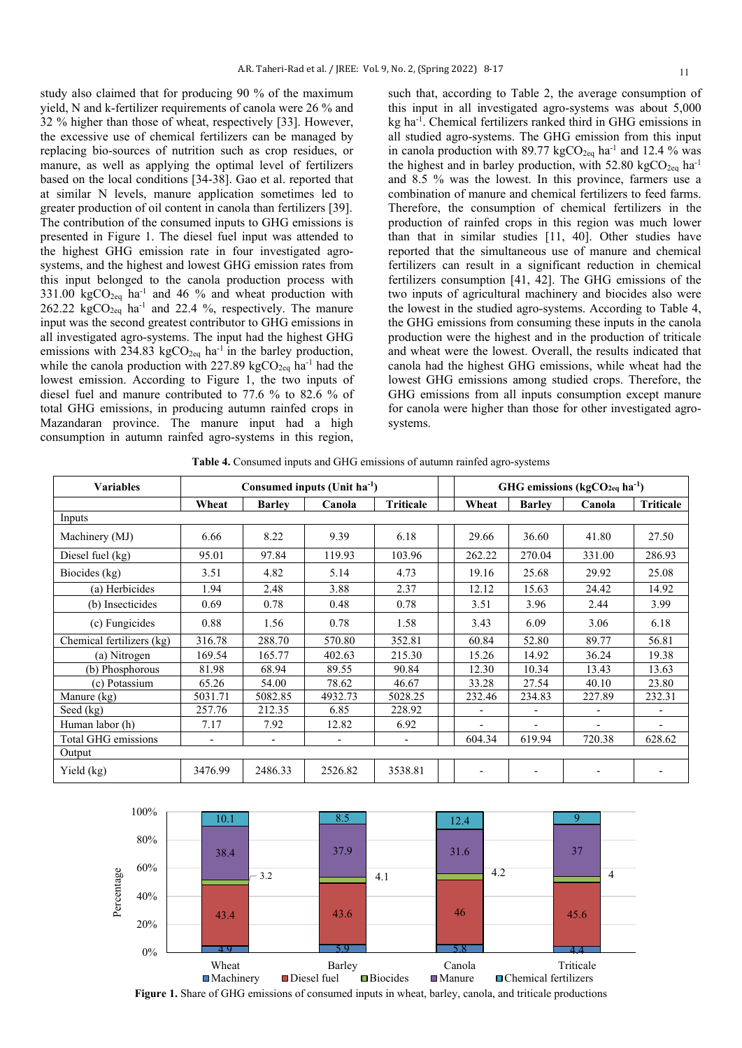study also claimed that for producing 90 % of the maximum yield, N and k-fertilizer requirements of canola were 26 % and 32 % higher than those of wheat, respectively [33]. However, the excessive use of chemical fertilizers can be managed by replacing bio-sources of nutrition such as crop residues, or manure, as well as applying the optimal level of fertilizers based on the local conditions [34-38]. Gao et al. reported that at similar N levels, manure application sometimes led to greater production of oil content in canola than fertilizers [39]. The contribution of the consumed inputs to GHG emissions is presented in Figure 1. The diesel fuel input was attended to the highest GHG emission rate in four investigated agrosystems, and the highest and lowest GHG emission rates from this input belonged to the canola production process with  $331.00 \text{ kgCO}_{2\text{eq}}$  ha<sup>-1</sup> and 46 % and wheat production with 262.22  $kgCO<sub>2eq</sub>$  ha<sup>-1</sup> and 22.4 %, respectively. The manure input was the second greatest contributor to GHG emissions in all investigated agro-systems. The input had the highest GHG emissions with 234.83 kgCO<sub>2eq</sub> ha<sup>-1</sup> in the barley production, while the canola production with 227.89 kgCO<sub>2eq</sub> ha<sup>-1</sup> had the lowest emission. According to Figure 1, the two inputs of diesel fuel and manure contributed to 77.6 % to 82.6 % of total GHG emissions, in producing autumn rainfed crops in Mazandaran province. The manure input had a high consumption in autumn rainfed agro-systems in this region,

such that, according to Table 2, the average consumption of this input in all investigated agro-systems was about 5,000 kg ha-1 . Chemical fertilizers ranked third in GHG emissions in all studied agro-systems. The GHG emission from this input in canola production with  $89.77 \text{ kgCO}_{2\text{eq}}$  ha<sup>-1</sup> and 12.4 % was the highest and in barley production, with 52.80 kgCO<sub>2eq</sub> ha<sup>-1</sup> and 8.5 % was the lowest. In this province, farmers use a combination of manure and chemical fertilizers to feed farms. Therefore, the consumption of chemical fertilizers in the production of rainfed crops in this region was much lower than that in similar studies [11, 40]. Other studies have reported that the simultaneous use of manure and chemical fertilizers can result in a significant reduction in chemical fertilizers consumption [41, 42]. The GHG emissions of the two inputs of agricultural machinery and biocides also were the lowest in the studied agro-systems. According to Table 4, the GHG emissions from consuming these inputs in the canola production were the highest and in the production of triticale and wheat were the lowest. Overall, the results indicated that canola had the highest GHG emissions, while wheat had the lowest GHG emissions among studied crops. Therefore, the GHG emissions from all inputs consumption except manure for canola were higher than those for other investigated agrosystems.

**Table 4.** Consumed inputs and GHG emissions of autumn rainfed agro-systems

| <b>Variables</b>          | Consumed inputs (Unit ha <sup>-1</sup> ) |               |                          |                          | GHG emissions ( $kgCO2eq$ ha <sup>-1</sup> ) |                |                          |                          |                  |
|---------------------------|------------------------------------------|---------------|--------------------------|--------------------------|----------------------------------------------|----------------|--------------------------|--------------------------|------------------|
|                           | Wheat                                    | <b>Barley</b> | Canola                   | <b>Triticale</b>         |                                              | Wheat          | <b>Barley</b>            | Canola                   | <b>Triticale</b> |
| Inputs                    |                                          |               |                          |                          |                                              |                |                          |                          |                  |
| Machinery (MJ)            | 6.66                                     | 8.22          | 9.39                     | 6.18                     |                                              | 29.66          | 36.60                    | 41.80                    | 27.50            |
| Diesel fuel (kg)          | 95.01                                    | 97.84         | 119.93                   | 103.96                   |                                              | 262.22         | 270.04                   | 331.00                   | 286.93           |
| Biocides (kg)             | 3.51                                     | 4.82          | 5.14                     | 4.73                     |                                              | 19.16          | 25.68                    | 29.92                    | 25.08            |
| (a) Herbicides            | 1.94                                     | 2.48          | 3.88                     | 2.37                     |                                              | 12.12          | 15.63                    | 24.42                    | 14.92            |
| (b) Insecticides          | 0.69                                     | 0.78          | 0.48                     | 0.78                     |                                              | 3.51           | 3.96                     | 2.44                     | 3.99             |
| (c) Fungicides            | 0.88                                     | 1.56          | 0.78                     | 1.58                     |                                              | 3.43           | 6.09                     | 3.06                     | 6.18             |
| Chemical fertilizers (kg) | 316.78                                   | 288.70        | 570.80                   | 352.81                   |                                              | 60.84          | 52.80                    | 89.77                    | 56.81            |
| (a) Nitrogen              | 169.54                                   | 165.77        | 402.63                   | 215.30                   |                                              | 15.26          | 14.92                    | 36.24                    | 19.38            |
| (b) Phosphorous           | 81.98                                    | 68.94         | 89.55                    | 90.84                    |                                              | 12.30          | 10.34                    | 13.43                    | 13.63            |
| (c) Potassium             | 65.26                                    | 54.00         | 78.62                    | 46.67                    |                                              | 33.28          | 27.54                    | 40.10                    | 23.80            |
| Manure (kg)               | 5031.71                                  | 5082.85       | 4932.73                  | 5028.25                  |                                              | 232.46         | 234.83                   | 227.89                   | 232.31           |
| Seed $(kg)$               | 257.76                                   | 212.35        | 6.85                     | 228.92                   |                                              | $\blacksquare$ | $\overline{\phantom{a}}$ | $\overline{\phantom{a}}$ | -                |
| Human labor (h)           | 7.17                                     | 7.92          | 12.82                    | 6.92                     |                                              |                |                          | ۰                        | -                |
| Total GHG emissions       | $\overline{\phantom{a}}$                 | ٠             | $\overline{\phantom{a}}$ | $\overline{\phantom{0}}$ |                                              | 604.34         | 619.94                   | 720.38                   | 628.62           |
| Output                    |                                          |               |                          |                          |                                              |                |                          |                          |                  |
| Yield (kg)                | 3476.99                                  | 2486.33       | 2526.82                  | 3538.81                  |                                              |                |                          |                          | -                |



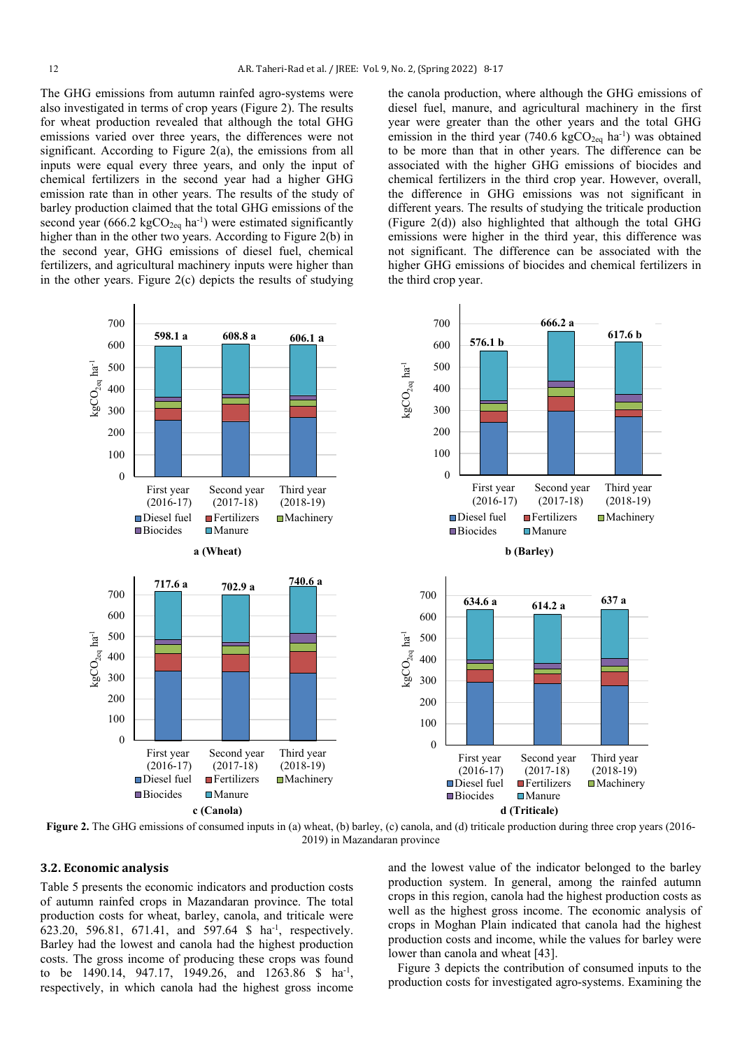The GHG emissions from autumn rainfed agro-systems were also investigated in terms of crop years (Figure 2). The results for wheat production revealed that although the total GHG emissions varied over three years, the differences were not significant. According to Figure  $2(a)$ , the emissions from all inputs were equal every three years, and only the input of chemical fertilizers in the second year had a higher GHG emission rate than in other years. The results of the study of barley production claimed that the total GHG emissions of the second year (666.2 kg $CO<sub>2eq</sub>$  ha<sup>-1</sup>) were estimated significantly higher than in the other two years. According to Figure 2(b) in the second year, GHG emissions of diesel fuel, chemical fertilizers, and agricultural machinery inputs were higher than in the other years. Figure 2(c) depicts the results of studying

the canola production, where although the GHG emissions of diesel fuel, manure, and agricultural machinery in the first year were greater than the other years and the total GHG emission in the third year (740.6 kgCO<sub>2eq</sub> ha<sup>-1</sup>) was obtained to be more than that in other years. The difference can be associated with the higher GHG emissions of biocides and chemical fertilizers in the third crop year. However, overall, the difference in GHG emissions was not significant in different years. The results of studying the triticale production (Figure 2(d)) also highlighted that although the total GHG emissions were higher in the third year, this difference was not significant. The difference can be associated with the higher GHG emissions of biocides and chemical fertilizers in the third crop year.



**Figure 2.** The GHG emissions of consumed inputs in (a) wheat, (b) barley, (c) canola, and (d) triticale production during three crop years (2016-2019) in Mazandaran province

## **3.2. Economic analysis**

Table 5 presents the economic indicators and production costs of autumn rainfed crops in Mazandaran province. The total production costs for wheat, barley, canola, and triticale were 623.20, 596.81, 671.41, and 597.64 \$ ha-1 , respectively. Barley had the lowest and canola had the highest production costs. The gross income of producing these crops was found to be 1490.14, 947.17, 1949.26, and 1263.86 \$ ha<sup>-1</sup>, respectively, in which canola had the highest gross income

and the lowest value of the indicator belonged to the barley production system. In general, among the rainfed autumn crops in this region, canola had the highest production costs as well as the highest gross income. The economic analysis of crops in Moghan Plain indicated that canola had the highest production costs and income, while the values for barley were lower than canola and wheat [43].

 Figure 3 depicts the contribution of consumed inputs to the production costs for investigated agro-systems. Examining the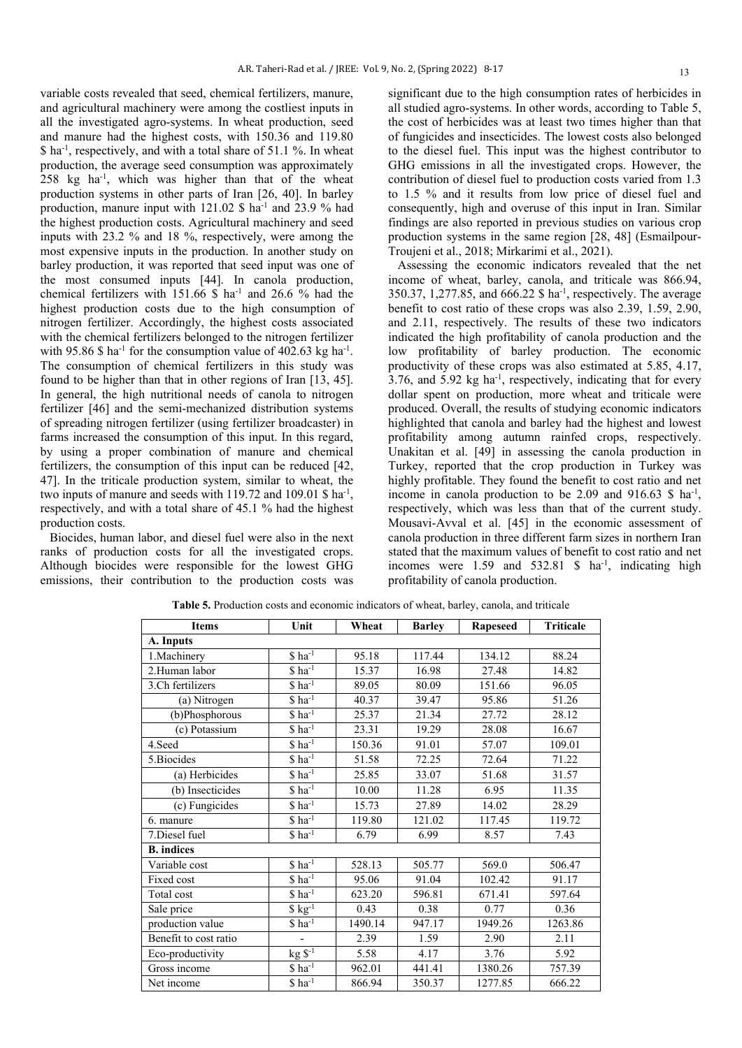variable costs revealed that seed, chemical fertilizers, manure, and agricultural machinery were among the costliest inputs in all the investigated agro-systems. In wheat production, seed and manure had the highest costs, with 150.36 and 119.80 \$ ha-1 , respectively, and with a total share of 51.1 %. In wheat production, the average seed consumption was approximately 258 kg ha-1 , which was higher than that of the wheat production systems in other parts of Iran [26, 40]. In barley production, manure input with  $121.02 \text{ }\$$  ha<sup>-1</sup> and  $23.9 \%$  had the highest production costs. Agricultural machinery and seed inputs with 23.2 % and 18 %, respectively, were among the most expensive inputs in the production. In another study on barley production, it was reported that seed input was one of the most consumed inputs [44]. In canola production, chemical fertilizers with  $151.66 \text{ s}$  ha<sup>-1</sup> and 26.6 % had the highest production costs due to the high consumption of nitrogen fertilizer. Accordingly, the highest costs associated with the chemical fertilizers belonged to the nitrogen fertilizer with 95.86 \$ ha<sup>-1</sup> for the consumption value of 402.63 kg ha<sup>-1</sup>. The consumption of chemical fertilizers in this study was found to be higher than that in other regions of Iran [13, 45]. In general, the high nutritional needs of canola to nitrogen fertilizer [46] and the semi-mechanized distribution systems of spreading nitrogen fertilizer (using fertilizer broadcaster) in farms increased the consumption of this input. In this regard, by using a proper combination of manure and chemical fertilizers, the consumption of this input can be reduced [42, 47]. In the triticale production system, similar to wheat, the two inputs of manure and seeds with 119.72 and 109.01 \$ ha<sup>-1</sup>, respectively, and with a total share of 45.1 % had the highest production costs.

 Biocides, human labor, and diesel fuel were also in the next ranks of production costs for all the investigated crops. Although biocides were responsible for the lowest GHG emissions, their contribution to the production costs was significant due to the high consumption rates of herbicides in all studied agro-systems. In other words, according to Table 5, the cost of herbicides was at least two times higher than that of fungicides and insecticides. The lowest costs also belonged to the diesel fuel. This input was the highest contributor to GHG emissions in all the investigated crops. However, the contribution of diesel fuel to production costs varied from 1.3 to 1.5 % and it results from low price of diesel fuel and consequently, high and overuse of this input in Iran. Similar findings are also reported in previous studies on various crop production systems in the same region [28, 48] (Esmailpour-Troujeni et al., 2018; Mirkarimi et al., 2021).

 Assessing the economic indicators revealed that the net income of wheat, barley, canola, and triticale was 866.94, 350.37, 1,277.85, and 666.22 \$ ha-1 , respectively. The average benefit to cost ratio of these crops was also 2.39, 1.59, 2.90, and 2.11, respectively. The results of these two indicators indicated the high profitability of canola production and the low profitability of barley production. The economic productivity of these crops was also estimated at 5.85, 4.17,  $3.76$ , and  $5.92$  kg ha<sup>-1</sup>, respectively, indicating that for every dollar spent on production, more wheat and triticale were produced. Overall, the results of studying economic indicators highlighted that canola and barley had the highest and lowest profitability among autumn rainfed crops, respectively. Unakitan et al. [49] in assessing the canola production in Turkey, reported that the crop production in Turkey was highly profitable. They found the benefit to cost ratio and net income in canola production to be  $2.09$  and  $916.63$  \$ ha<sup>-1</sup>, respectively, which was less than that of the current study. Mousavi-Avval et al. [45] in the economic assessment of canola production in three different farm sizes in northern Iran stated that the maximum values of benefit to cost ratio and net incomes were  $1.59$  and  $532.81$  \$ ha<sup>-1</sup>, indicating high profitability of canola production.

| <b>Items</b>          | Unit                                  | Wheat   | <b>Barley</b> | <b>Rapeseed</b> | <b>Triticale</b> |  |  |
|-----------------------|---------------------------------------|---------|---------------|-----------------|------------------|--|--|
| A. Inputs             |                                       |         |               |                 |                  |  |  |
| 1. Machinery          | $$$ ha <sup>-1</sup>                  | 95.18   | 117.44        | 134.12          | 88.24            |  |  |
| 2.Human labor         | $$ ha-1$                              | 15.37   | 16.98         | 27.48           | 14.82            |  |  |
| 3.Ch fertilizers      | $$ ha-1$                              | 89.05   | 80.09         | 151.66          | 96.05            |  |  |
| (a) Nitrogen          | $$ ha-1$                              | 40.37   | 39.47         | 95.86           | 51.26            |  |  |
| (b)Phosphorous        | $\sqrt{\tan^{-1}$                     | 25.37   | 21.34         | 27.72           | 28.12            |  |  |
| (c) Potassium         | $$$ ha <sup>-1</sup>                  | 23.31   | 19.29         | 28.08           | 16.67            |  |  |
| 4.Seed                | $$$ ha <sup>-1</sup>                  | 150.36  | 91.01         | 57.07           | 109.01           |  |  |
| 5. Biocides           | $$$ ha <sup>-1</sup>                  | 51.58   | 72.25         | 72.64           | 71.22            |  |  |
| (a) Herbicides        | $$ ha^{-1}$                           | 25.85   | 33.07         | 51.68           | 31.57            |  |  |
| (b) Insecticides      | $$$ ha <sup>-1</sup>                  | 10.00   | 11.28         | 6.95            | 11.35            |  |  |
| (c) Fungicides        | $$ ha^{-1}$                           | 15.73   | 27.89         | 14.02           | 28.29            |  |  |
| 6. manure             | $$ ha^{-1}$                           | 119.80  | 121.02        | 117.45          | 119.72           |  |  |
| 7.Diesel fuel         | $$ ha-1$                              | 6.79    | 6.99          | 8.57            | 7.43             |  |  |
| <b>B.</b> indices     |                                       |         |               |                 |                  |  |  |
| Variable cost         | $$$ ha <sup>-1</sup>                  | 528.13  | 505.77        | 569.0           | 506.47           |  |  |
| Fixed cost            | $\sqrt{\frac{2}{n}}$ ha <sup>-1</sup> | 95.06   | 91.04         | 102.42          | 91.17            |  |  |
| Total cost            | $$ha^{-1}$                            | 623.20  | 596.81        | 671.41          | 597.64           |  |  |
| Sale price            | $$ kg-1$                              | 0.43    | 0.38          | 0.77            | 0.36             |  |  |
| production value      | $$ ha-1$                              | 1490.14 | 947.17        | 1949.26         | 1263.86          |  |  |
| Benefit to cost ratio | $\overline{a}$                        | 2.39    | 1.59          | 2.90            | 2.11             |  |  |
| Eco-productivity      | $kg \$ <sup>-1</sup>                  | 5.58    | 4.17          | 3.76            | 5.92             |  |  |
| Gross income          | $$ ha^{-1}$                           | 962.01  | 441.41        | 1380.26         | 757.39           |  |  |
| Net income            | $$$ ha <sup>-1</sup>                  | 866.94  | 350.37        | 1277.85         | 666.22           |  |  |

**Table 5.** Production costs and economic indicators of wheat, barley, canola, and triticale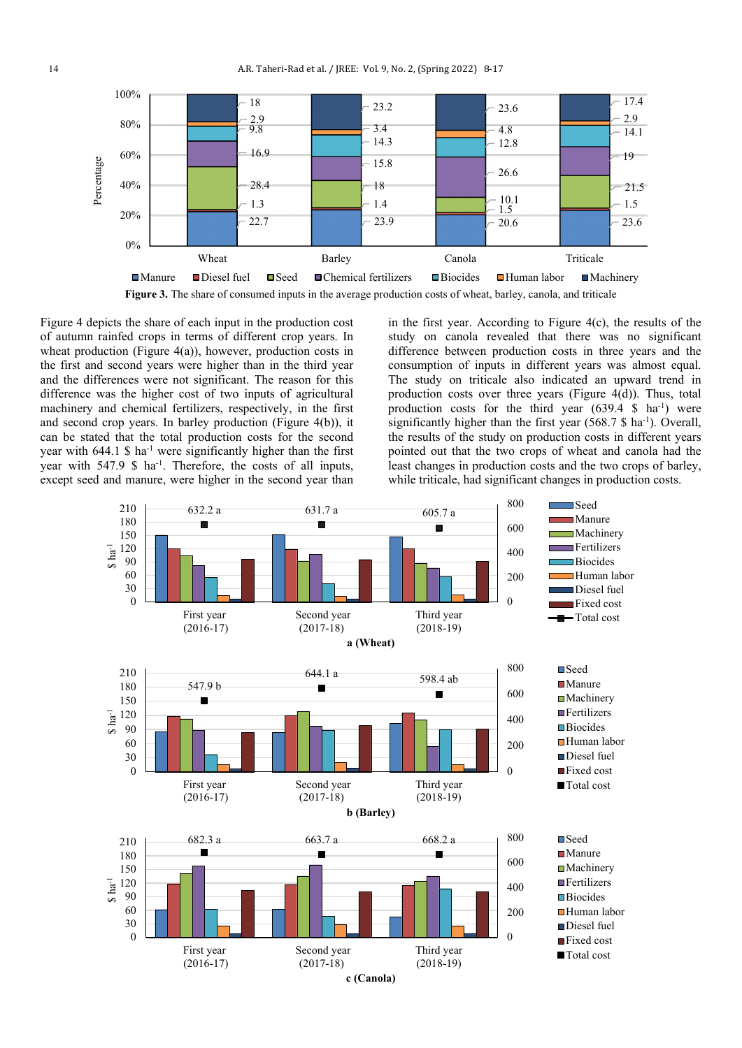

Figure 4 depicts the share of each input in the production cost of autumn rainfed crops in terms of different crop years. In wheat production (Figure 4(a)), however, production costs in the first and second years were higher than in the third year and the differences were not significant. The reason for this difference was the higher cost of two inputs of agricultural machinery and chemical fertilizers, respectively, in the first and second crop years. In barley production (Figure 4(b)), it can be stated that the total production costs for the second year with  $644.1 \text{ S}$  ha<sup>-1</sup> were significantly higher than the first year with  $547.9 \text{ }\$\text{ha}^{-1}\text{.}$  Therefore, the costs of all inputs, except seed and manure, were higher in the second year than

in the first year. According to Figure 4(c), the results of the study on canola revealed that there was no significant difference between production costs in three years and the consumption of inputs in different years was almost equal. The study on triticale also indicated an upward trend in production costs over three years (Figure 4(d)). Thus, total production costs for the third year  $(639.4 \text{ S} \text{ ha}^{-1})$  were significantly higher than the first year  $(568.7 \text{ S} \text{ ha}^{-1})$ . Overall, the results of the study on production costs in different years pointed out that the two crops of wheat and canola had the least changes in production costs and the two crops of barley, while triticale, had significant changes in production costs.

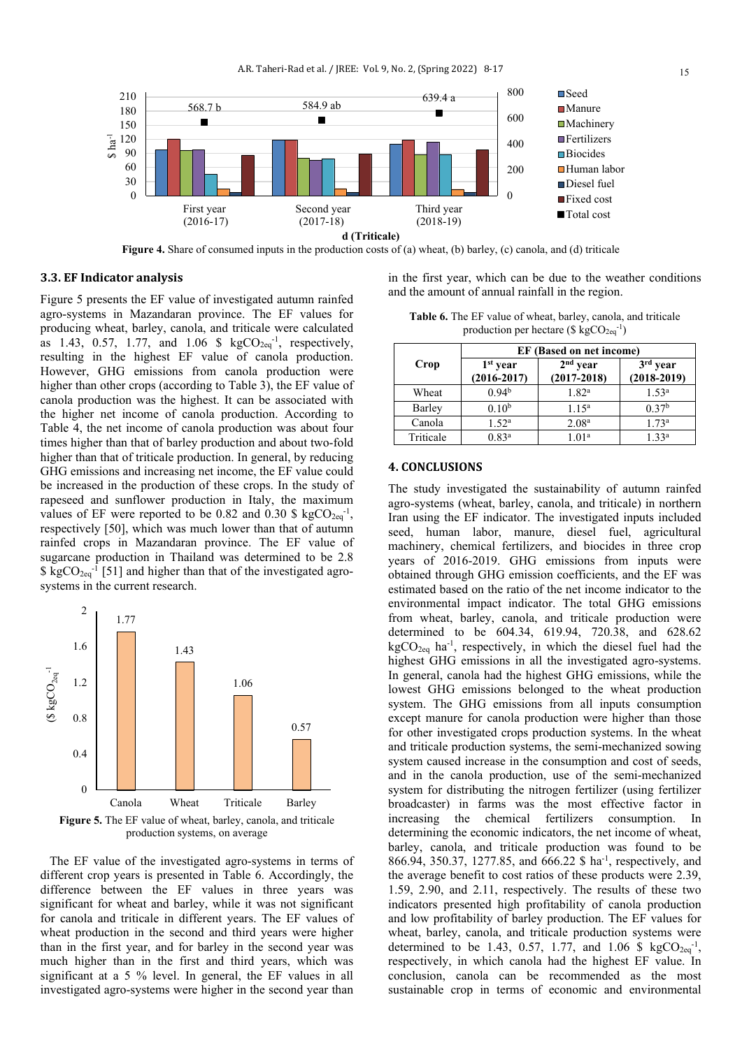

**Figure 4.** Share of consumed inputs in the production costs of (a) wheat, (b) barley, (c) canola, and (d) triticale

#### **3.3. EF Indicator analysis**

Figure 5 presents the EF value of investigated autumn rainfed agro-systems in Mazandaran province. The EF values for producing wheat, barley, canola, and triticale were calculated as 1.43, 0.57, 1.77, and 1.06 \$  $kgCO_{2eq}^{-1}$ , respectively, resulting in the highest EF value of canola production. However, GHG emissions from canola production were higher than other crops (according to Table 3), the EF value of canola production was the highest. It can be associated with the higher net income of canola production. According to Table 4, the net income of canola production was about four times higher than that of barley production and about two-fold higher than that of triticale production. In general, by reducing GHG emissions and increasing net income, the EF value could be increased in the production of these crops. In the study of rapeseed and sunflower production in Italy, the maximum values of EF were reported to be 0.82 and 0.30 \$  $kgCO_{2eq}^{-1}$ , respectively [50], which was much lower than that of autumn rainfed crops in Mazandaran province. The EF value of sugarcane production in Thailand was determined to be 2.8  $\frac{1}{2}$  kgCO<sub>2eq</sub>-1 [51] and higher than that of the investigated agrosystems in the current research.



production systems, on average

 The EF value of the investigated agro-systems in terms of different crop years is presented in Table 6. Accordingly, the difference between the EF values in three years was significant for wheat and barley, while it was not significant for canola and triticale in different years. The EF values of wheat production in the second and third years were higher than in the first year, and for barley in the second year was much higher than in the first and third years, which was significant at a 5 % level. In general, the EF values in all investigated agro-systems were higher in the second year than

in the first year, which can be due to the weather conditions and the amount of annual rainfall in the region.

**Table 6.** The EF value of wheat, barley, canola, and triticale production per hectare ( $\frac{6 \text{ kgCO}_{2\text{eq}}^{-1}}{2}$ )

|           | <b>EF</b> (Based on net income)         |                               |                             |  |  |  |  |
|-----------|-----------------------------------------|-------------------------------|-----------------------------|--|--|--|--|
| Crop      | 1 <sup>st</sup> year<br>$(2016 - 2017)$ | $2nd$ year<br>$(2017 - 2018)$ | $3rd$ year<br>$(2018-2019)$ |  |  |  |  |
| Wheat     | 0.94 <sup>b</sup>                       | 1.82 <sup>a</sup>             | 1.53 <sup>a</sup>           |  |  |  |  |
| Barley    | 0.10 <sup>b</sup>                       | $1.15^{\rm a}$                | 0.37 <sup>b</sup>           |  |  |  |  |
| Canola    | 1.52 <sup>a</sup>                       | 2.08 <sup>a</sup>             | 1.73 <sup>a</sup>           |  |  |  |  |
| Triticale | 0.83 <sup>a</sup>                       | 1.01 <sup>a</sup>             | 1,33 <sup>a</sup>           |  |  |  |  |

#### **4. CONCLUSIONS**

The study investigated the sustainability of autumn rainfed agro-systems (wheat, barley, canola, and triticale) in northern Iran using the EF indicator. The investigated inputs included seed, human labor, manure, diesel fuel, agricultural machinery, chemical fertilizers, and biocides in three crop years of 2016-2019. GHG emissions from inputs were obtained through GHG emission coefficients, and the EF was estimated based on the ratio of the net income indicator to the environmental impact indicator. The total GHG emissions from wheat, barley, canola, and triticale production were determined to be 604.34, 619.94, 720.38, and 628.62  $kgCO_{2eq}$  ha<sup>-1</sup>, respectively, in which the diesel fuel had the highest GHG emissions in all the investigated agro-systems. In general, canola had the highest GHG emissions, while the lowest GHG emissions belonged to the wheat production system. The GHG emissions from all inputs consumption except manure for canola production were higher than those for other investigated crops production systems. In the wheat and triticale production systems, the semi-mechanized sowing system caused increase in the consumption and cost of seeds, and in the canola production, use of the semi-mechanized system for distributing the nitrogen fertilizer (using fertilizer broadcaster) in farms was the most effective factor in increasing the chemical fertilizers consumption. In determining the economic indicators, the net income of wheat, barley, canola, and triticale production was found to be 866.94, 350.37, 1277.85, and 666.22 \$ ha<sup>-1</sup>, respectively, and the average benefit to cost ratios of these products were 2.39, 1.59, 2.90, and 2.11, respectively. The results of these two indicators presented high profitability of canola production and low profitability of barley production. The EF values for wheat, barley, canola, and triticale production systems were determined to be 1.43, 0.57, 1.77, and 1.06 \$  $kgCO_{2eq}^{-1}$ , respectively, in which canola had the highest EF value. In conclusion, canola can be recommended as the most sustainable crop in terms of economic and environmental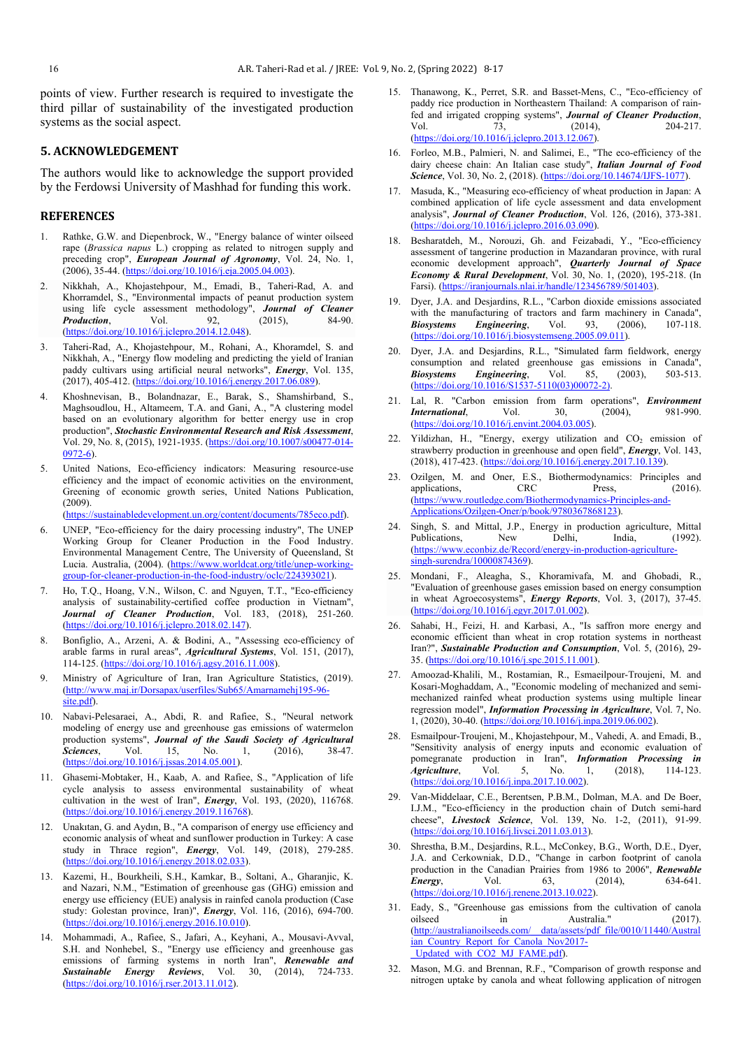points of view. Further research is required to investigate the third pillar of sustainability of the investigated production systems as the social aspect.

### **5. ACKNOWLEDGEMENT**

The authors would like to acknowledge the support provided by the Ferdowsi University of Mashhad for funding this work.

#### **REFERENCES**

- 1. Rathke, G.W. and Diepenbrock, W., "Energy balance of winter oilseed rape (*Brassica napus* L.) cropping as related to nitrogen supply and preceding crop", *European Journal of Agronomy*, Vol. 24, No. 1, (2006), 35-44. [\(https://doi.org/10.1016/j.eja.2005.04.003\)](https://doi.org/10.1016/j.eja.2005.04.003).
- 2. Nikkhah, A., Khojastehpour, M., Emadi, B., Taheri-Rad, A. and Khorramdel, S., "Environmental impacts of peanut production system using life cycle assessment methodology", *Journal of Cleaner*  **Production**, Vol. 92, (2015), 84-90. [\(https://doi.org/10.1016/j.jclepro.2014.12.048\)](https://doi.org/10.1016/j.jclepro.2014.12.048).
- 3. Taheri-Rad, A., Khojastehpour, M., Rohani, A., Khoramdel, S. and Nikkhah, A., "Energy flow modeling and predicting the yield of Iranian paddy cultivars using artificial neural networks", *Energy*, Vol. 135,  $(2017)$ , 405-412. [\(https://doi.org/10.1016/j.energy.2017.06.089\)](https://doi.org/10.1016/j.energy.2017.06.089).
- 4. Khoshnevisan, B., Bolandnazar, E., Barak, S., Shamshirband, S., Maghsoudlou, H., Altameem, T.A. and Gani, A., "A clustering model based on an evolutionary algorithm for better energy use in crop production", *Stochastic Environmental Research and Risk Assessment*, Vol. 29, No. 8, (2015), 1921-1935. [\(https://doi.org/10.1007/s00477-014-](https://doi.org/10.1007/s00477-014-0972-6) [0972-6\)](https://doi.org/10.1007/s00477-014-0972-6).
- 5. United Nations, Eco-efficiency indicators: Measuring resource-use efficiency and the impact of economic activities on the environment, Greening of economic growth series, United Nations Publication, (2009).
	- [\(https://sustainabledevelopment.un.org/content/documents/785eco.pdf\)](https://sustainabledevelopment.un.org/content/documents/785eco.pdf).
- 6. UNEP, "Eco-efficiency for the dairy processing industry", The UNEP Working Group for Cleaner Production in the Food Industry. Environmental Management Centre, The University of Queensland, St Lucia. Australia, (2004). [\(https://www.worldcat.org/title/unep-working](https://www.worldcat.org/title/unep-working-group-for-cleaner-production-in-the-food-industry/oclc/224393021)[group-for-cleaner-production-in-the-food-industry/oclc/224393021\)](https://www.worldcat.org/title/unep-working-group-for-cleaner-production-in-the-food-industry/oclc/224393021).
- 7. Ho, T.Q., Hoang, V.N., Wilson, C. and Nguyen, T.T., "Eco-efficiency analysis of sustainability-certified coffee production in Vietnam", *Journal of Cleaner Production*, Vol. 183, (2018), 251-260. [\(https://doi.org/10.1016/j.jclepro.2018.02.147\)](https://doi.org/10.1016/j.jclepro.2018.02.147).
- 8. Bonfiglio, A., Arzeni, A. & Bodini, A., "Assessing eco-efficiency of arable farms in rural areas", *Agricultural Systems*, Vol. 151, (2017), 114-125. [\(https://doi.org/10.1016/j.agsy.2016.11.008\)](https://doi.org/10.1016/j.agsy.2016.11.008).
- 9. Ministry of Agriculture of Iran, Iran Agriculture Statistics, (2019). [\(http://www.maj.ir/Dorsapax/userfiles/Sub65/Amarnamehj195-96](http://www.maj.ir/Dorsapax/userfiles/Sub65/Amarnamehj195-96-site.pdf) [site.pdf\)](http://www.maj.ir/Dorsapax/userfiles/Sub65/Amarnamehj195-96-site.pdf).
- 10. Nabavi-Pelesaraei, A., Abdi, R. and Rafiee, S., "Neural network modeling of energy use and greenhouse gas emissions of watermelon production systems", *Journal of the Saudi Society of Agricultural*  **Sciences**, Vol. 15, No. 1, (2016), 38-47. [\(https://doi.org/10.1016/j.jssas.2014.05.001\)](https://doi.org/10.1016/j.jssas.2014.05.001).
- 11. Ghasemi-Mobtaker, H., Kaab, A. and Rafiee, S., "Application of life cycle analysis to assess environmental sustainability of wheat cultivation in the west of Iran", *Energy*, Vol. 193, (2020), 116768. [\(https://doi.org/10.1016/j.energy.2019.116768\)](https://doi.org/10.1016/j.energy.2019.116768).
- 12. Unakıtan, G. and Aydın, B., "A comparison of energy use efficiency and economic analysis of wheat and sunflower production in Turkey: A case study in Thrace region", *Energy*, Vol. 149, (2018), 279-285. [\(https://doi.org/10.1016/j.energy.2018.02.033\)](https://doi.org/10.1016/j.energy.2018.02.033).
- 13. Kazemi, H., Bourkheili, S.H., Kamkar, B., Soltani, A., Gharanjic, K. and Nazari, N.M., "Estimation of greenhouse gas (GHG) emission and energy use efficiency (EUE) analysis in rainfed canola production (Case study: Golestan province, Iran)", *Energy*, Vol. 116, (2016), 694-700. [\(https://doi.org/10.1016/j.energy.2016.10.010\)](https://doi.org/10.1016/j.energy.2016.10.010).
- 14. Mohammadi, A., Rafiee, S., Jafari, A., Keyhani, A., Mousavi-Avval, S.H. and Nonhebel, S., "Energy use efficiency and greenhouse gas emissions of farming systems in north Iran", **Renewable and Sustainable Energy Reviews**, Vol. 30, (2014), 724-733. *Sustainable Energy Reviews,* [\(https://doi.org/10.1016/j.rser.2013.11.012\)](https://doi.org/10.1016/j.rser.2013.11.012).
- 15. Thanawong, K., Perret, S.R. and Basset-Mens, C., "Eco-efficiency of paddy rice production in Northeastern Thailand: A comparison of rainfed and irrigated cropping systems", *Journal of Cleaner Production*, Vol. 73, (2014), 204-217. [\(https://doi.org/10.1016/j.jclepro.2013.12.067\)](https://doi.org/10.1016/j.jclepro.2013.12.067).
- 16. Forleo, M.B., Palmieri, N. and Salimei, E., "The eco-efficiency of the dairy cheese chain: An Italian case study", *Italian Journal of Food Science*, Vol. 30, No. 2, (2018). [\(https://doi.org/10.14674/IJFS-1077\)](https://doi.org/10.14674/IJFS-1077).
- 17. Masuda, K., "Measuring eco-efficiency of wheat production in Japan: A combined application of life cycle assessment and data envelopment analysis", *Journal of Cleaner Production*, Vol. 126, (2016), 373-381. [\(https://doi.org/10.1016/j.jclepro.2016.03.090\)](https://doi.org/10.1016/j.jclepro.2016.03.090).
- 18. Besharatdeh, M., Norouzi, Gh. and Feizabadi, Y., "Eco-efficiency assessment of tangerine production in Mazandaran province, with rural economic development approach", *Quarterly Journal of Space Economy & Rural Development*, Vol. 30, No. 1, (2020), 195-218. (In Farsi). [\(https://iranjournals.nlai.ir/handle/123456789/501403\).](https://iranjournals.nlai.ir/handle/123456789/501403)
- 19. Dyer, J.A. and Desjardins, R.L., "Carbon dioxide emissions associated with the manufacturing of tractors and farm machinery in Canada",<br> **Biosystems** Engineering. Vol. 93. (2006). 107-118. *Biosystems Engineering*, Vol. 93, (2006), 107-118. [\(https://doi.org/10.1016/j.biosystemseng.2005.09.011\)](https://doi.org/10.1016/j.biosystemseng.2005.09.011).
- 20. Dyer, J.A. and Desjardins, R.L., "Simulated farm fieldwork, energy consumption and related greenhouse gas emissions in Canada",<br>**Biosystems** Engineering, Vol. 85, (2003), 503-513. *Engineering*, Vol. [\(https://doi.org/10.1016/S1537-5110\(03\)00072-2\).](https://doi.org/10.1016/S1537-5110(03)00072-2))
- 21. Lal, R. "Carbon emission from farm operations", *Environment International*, Vol. 30, (2004), 981-990. [\(https://doi.org/10.1016/j.envint.2004.03.005\)](https://doi.org/10.1016/j.envint.2004.03.005).
- 22. Yildizhan, H., "Energy, exergy utilization and CO<sub>2</sub> emission of strawberry production in greenhouse and open field", *Energy*, Vol. 143, (2018), 417-423. [\(https://doi.org/10.1016/j.energy.2017.10.139\)](https://doi.org/10.1016/j.energy.2017.10.139).
- 23. Ozilgen, M. and Oner, E.S., Biothermodynamics: Principles and applications, CRC Press, (2016). applications, CRC Press, (2016). [\(https://www.routledge.com/Biothermodynamics-Principles-and-](https://www.routledge.com/Biothermodynamics-Principles-and-Applications/Ozilgen-Oner/p/book/9780367868123)[Applications/Ozilgen-Oner/p/book/9780367868123\)](https://www.routledge.com/Biothermodynamics-Principles-and-Applications/Ozilgen-Oner/p/book/9780367868123).
- 24. Singh, S. and Mittal, J.P., Energy in production agriculture, Mittal Publications, New Delhi, India, (1992). Publications, [\(https://www.econbiz.de/Record/energy-in-production-agriculture](https://www.econbiz.de/Record/energy-in-production-agriculture-singh-surendra/10000874369)[singh-surendra/10000874369\)](https://www.econbiz.de/Record/energy-in-production-agriculture-singh-surendra/10000874369).
- 25. Mondani, F., Aleagha, S., Khoramivafa, M. and Ghobadi, R., "Evaluation of greenhouse gases emission based on energy consumption in wheat Agroecosystems", *Energy Reports*, Vol. 3, (2017), 37-45. [\(https://doi.org/10.1016/j.egyr.2017.01.002\)](https://doi.org/10.1016/j.egyr.2017.01.002).
- 26. Sahabi, H., Feizi, H. and Karbasi, A., "Is saffron more energy and economic efficient than wheat in crop rotation systems in northeast Iran?", *Sustainable Production and Consumption*, Vol. 5, (2016), 29- 35. [\(https://doi.org/10.1016/j.spc.2015.11.001\)](https://doi.org/10.1016/j.spc.2015.11.001).
- 27. Amoozad-Khalili, M., Rostamian, R., Esmaeilpour-Troujeni, M. and Kosari-Moghaddam, A., "Economic modeling of mechanized and semimechanized rainfed wheat production systems using multiple linear regression model", *Information Processing in Agriculture*, Vol. 7, No. 1, (2020), 30-40. [\(https://doi.org/10.1016/j.inpa.2019.06.002\)](https://doi.org/10.1016/j.inpa.2019.06.002).
- 28. Esmailpour-Troujeni, M., Khojastehpour, M., Vahedi, A. and Emadi, B., "Sensitivity analysis of energy inputs and economic evaluation of pomegranate production in Iran", *Information Processing in Agriculture*, Vol. 5, No. 1, (2018), 114-123. [\(https://doi.org/10.1016/j.inpa.2017.10.002\)](https://doi.org/10.1016/j.inpa.2017.10.002).
- 29. Van-Middelaar, C.E., Berentsen, P.B.M., Dolman, M.A. and De Boer, I.J.M., "Eco-efficiency in the production chain of Dutch semi-hard cheese", *Livestock Science*, Vol. 139, No. 1-2, (2011), 91-99. [\(https://doi.org/10.1016/j.livsci.2011.03.013\)](https://doi.org/10.1016/j.livsci.2011.03.013).
- 30. Shrestha, B.M., Desjardins, R.L., McConkey, B.G., Worth, D.E., Dyer, J.A. and Cerkowniak, D.D., "Change in carbon footprint of canola production in the Canadian Prairies from 1986 to 2006", **Renewable**<br>**Energy.** Vol. 63. (2014). 634-641. *Energy*, Vol. 63, (2014), 634-641. [\(https://doi.org/10.1016/j.renene.2013.10.022\)](https://doi.org/10.1016/j.renene.2013.10.022).
- 31. Eady, S., "Greenhouse gas emissions from the cultivation of canola in Australia." [\(http://australianoilseeds.com/\\_\\_data/assets/pdf\\_file/0010/11440/Austral](http://australianoilseeds.com/__data/assets/pdf_file/0010/11440/Australian_Country_Report_for_Canola_Nov2017-_Updated_with_CO2_MJ_FAME.pdf) [ian\\_Country\\_Report\\_for\\_Canola\\_Nov2017-](http://australianoilseeds.com/__data/assets/pdf_file/0010/11440/Australian_Country_Report_for_Canola_Nov2017-_Updated_with_CO2_MJ_FAME.pdf) [\\_Updated\\_with\\_CO2\\_MJ\\_FAME.pdf\)](http://australianoilseeds.com/__data/assets/pdf_file/0010/11440/Australian_Country_Report_for_Canola_Nov2017-_Updated_with_CO2_MJ_FAME.pdf).
- 32. Mason, M.G. and Brennan, R.F., "Comparison of growth response and nitrogen uptake by canola and wheat following application of nitrogen